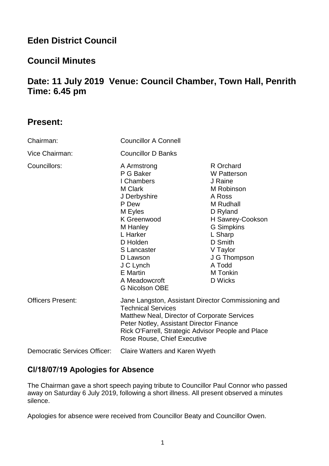# **Eden District Council**

# **Council Minutes**

# **Date: 11 July 2019 Venue: Council Chamber, Town Hall, Penrith Time: 6.45 pm**

# **Present:**

| Chairman:                    | <b>Councillor A Connell</b>                                                                                                                                                                                                                                       |                                                                                                                                                                                                                         |
|------------------------------|-------------------------------------------------------------------------------------------------------------------------------------------------------------------------------------------------------------------------------------------------------------------|-------------------------------------------------------------------------------------------------------------------------------------------------------------------------------------------------------------------------|
| Vice Chairman:               | <b>Councillor D Banks</b>                                                                                                                                                                                                                                         |                                                                                                                                                                                                                         |
| Councillors:                 | A Armstrong<br>P G Baker<br>I Chambers<br>M Clark<br>J Derbyshire<br>P Dew<br>M Eyles<br>K Greenwood<br>M Hanley<br>L Harker<br>D Holden<br>S Lancaster<br>D Lawson<br>J C Lynch<br><b>E</b> Martin<br>A Meadowcroft<br><b>G Nicolson OBE</b>                     | R Orchard<br><b>W</b> Patterson<br>J Raine<br>M Robinson<br>A Ross<br>M Rudhall<br>D Ryland<br>H Sawrey-Cookson<br><b>G</b> Simpkins<br>L Sharp<br>D Smith<br>V Taylor<br>J G Thompson<br>A Todd<br>M Tonkin<br>D Wicks |
| <b>Officers Present:</b>     | Jane Langston, Assistant Director Commissioning and<br><b>Technical Services</b><br>Matthew Neal, Director of Corporate Services<br>Peter Notley, Assistant Director Finance<br>Rick O'Farrell, Strategic Advisor People and Place<br>Rose Rouse, Chief Executive |                                                                                                                                                                                                                         |
| Democratic Services Officer: | Claire Watters and Karen Wyeth                                                                                                                                                                                                                                    |                                                                                                                                                                                                                         |

# **Cl/18/07/19 Apologies for Absence**

The Chairman gave a short speech paying tribute to Councillor Paul Connor who passed away on Saturday 6 July 2019, following a short illness. All present observed a minutes silence.

Apologies for absence were received from Councillor Beaty and Councillor Owen.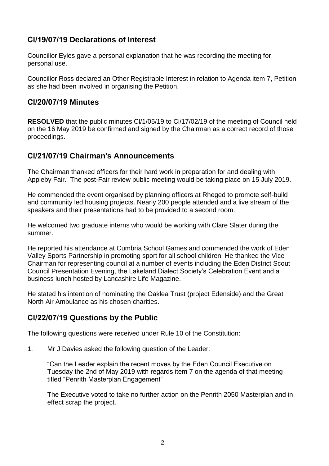# **Cl/19/07/19 Declarations of Interest**

Councillor Eyles gave a personal explanation that he was recording the meeting for personal use.

Councillor Ross declared an Other Registrable Interest in relation to Agenda item 7, Petition as she had been involved in organising the Petition.

### **Cl/20/07/19 Minutes**

**RESOLVED** that the public minutes Cl/1/05/19 to Cl/17/02/19 of the meeting of Council held on the 16 May 2019 be confirmed and signed by the Chairman as a correct record of those proceedings.

# **Cl/21/07/19 Chairman's Announcements**

The Chairman thanked officers for their hard work in preparation for and dealing with Appleby Fair. The post-Fair review public meeting would be taking place on 15 July 2019.

He commended the event organised by planning officers at Rheged to promote self-build and community led housing projects. Nearly 200 people attended and a live stream of the speakers and their presentations had to be provided to a second room.

He welcomed two graduate interns who would be working with Clare Slater during the summer.

He reported his attendance at Cumbria School Games and commended the work of Eden Valley Sports Partnership in promoting sport for all school children. He thanked the Vice Chairman for representing council at a number of events including the Eden District Scout Council Presentation Evening, the Lakeland Dialect Society's Celebration Event and a business lunch hosted by Lancashire Life Magazine.

He stated his intention of nominating the Oaklea Trust (project Edenside) and the Great North Air Ambulance as his chosen charities.

# **Cl/22/07/19 Questions by the Public**

The following questions were received under Rule 10 of the Constitution:

1. Mr J Davies asked the following question of the Leader:

"Can the Leader explain the recent moves by the Eden Council Executive on Tuesday the 2nd of May 2019 with regards item 7 on the agenda of that meeting titled "Penrith Masterplan Engagement"

The Executive voted to take no further action on the Penrith 2050 Masterplan and in effect scrap the project.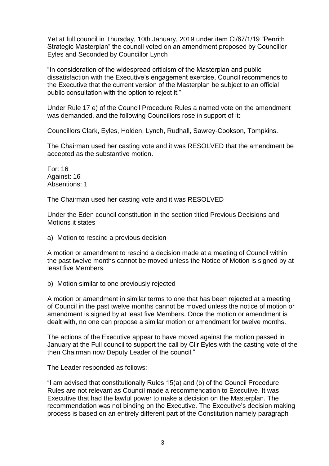Yet at full council in Thursday, 10th January, 2019 under item Cl/67/1/19 "Penrith Strategic Masterplan" the council voted on an amendment proposed by Councillor Eyles and Seconded by Councillor Lynch

"In consideration of the widespread criticism of the Masterplan and public dissatisfaction with the Executive's engagement exercise, Council recommends to the Executive that the current version of the Masterplan be subject to an official public consultation with the option to reject it."

Under Rule 17 e) of the Council Procedure Rules a named vote on the amendment was demanded, and the following Councillors rose in support of it:

Councillors Clark, Eyles, Holden, Lynch, Rudhall, Sawrey-Cookson, Tompkins.

The Chairman used her casting vote and it was RESOLVED that the amendment be accepted as the substantive motion.

For: 16 Against: 16 Absentions: 1

The Chairman used her casting vote and it was RESOLVED

Under the Eden council constitution in the section titled Previous Decisions and Motions it states

a) Motion to rescind a previous decision

A motion or amendment to rescind a decision made at a meeting of Council within the past twelve months cannot be moved unless the Notice of Motion is signed by at least five Members.

b) Motion similar to one previously rejected

A motion or amendment in similar terms to one that has been rejected at a meeting of Council in the past twelve months cannot be moved unless the notice of motion or amendment is signed by at least five Members. Once the motion or amendment is dealt with, no one can propose a similar motion or amendment for twelve months.

The actions of the Executive appear to have moved against the motion passed in January at the Full council to support the call by Cllr Eyles with the casting vote of the then Chairman now Deputy Leader of the council."

The Leader responded as follows:

"I am advised that constitutionally Rules 15(a) and (b) of the Council Procedure Rules are not relevant as Council made a recommendation to Executive. It was Executive that had the lawful power to make a decision on the Masterplan. The recommendation was not binding on the Executive. The Executive's decision making process is based on an entirely different part of the Constitution namely paragraph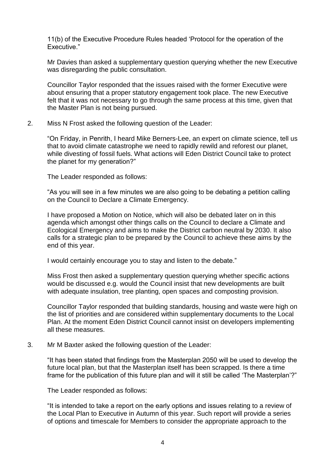11(b) of the Executive Procedure Rules headed 'Protocol for the operation of the Executive."

Mr Davies than asked a supplementary question querying whether the new Executive was disregarding the public consultation.

Councillor Taylor responded that the issues raised with the former Executive were about ensuring that a proper statutory engagement took place. The new Executive felt that it was not necessary to go through the same process at this time, given that the Master Plan is not being pursued.

2. Miss N Frost asked the following question of the Leader:

"On Friday, in Penrith, I heard Mike Berners-Lee, an expert on climate science, tell us that to avoid climate catastrophe we need to rapidly rewild and reforest our planet, while divesting of fossil fuels. What actions will Eden District Council take to protect the planet for my generation?"

The Leader responded as follows:

"As you will see in a few minutes we are also going to be debating a petition calling on the Council to Declare a Climate Emergency.

I have proposed a Motion on Notice, which will also be debated later on in this agenda which amongst other things calls on the Council to declare a Climate and Ecological Emergency and aims to make the District carbon neutral by 2030. It also calls for a strategic plan to be prepared by the Council to achieve these aims by the end of this year.

I would certainly encourage you to stay and listen to the debate."

Miss Frost then asked a supplementary question querying whether specific actions would be discussed e.g. would the Council insist that new developments are built with adequate insulation, tree planting, open spaces and composting provision.

Councillor Taylor responded that building standards, housing and waste were high on the list of priorities and are considered within supplementary documents to the Local Plan. At the moment Eden District Council cannot insist on developers implementing all these measures.

3. Mr M Baxter asked the following question of the Leader:

"It has been stated that findings from the Masterplan 2050 will be used to develop the future local plan, but that the Masterplan itself has been scrapped. Is there a time frame for the publication of this future plan and will it still be called 'The Masterplan'?"

The Leader responded as follows:

"It is intended to take a report on the early options and issues relating to a review of the Local Plan to Executive in Autumn of this year. Such report will provide a series of options and timescale for Members to consider the appropriate approach to the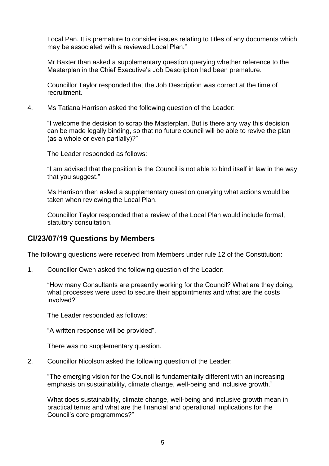Local Pan. It is premature to consider issues relating to titles of any documents which may be associated with a reviewed Local Plan."

Mr Baxter than asked a supplementary question querying whether reference to the Masterplan in the Chief Executive's Job Description had been premature.

Councillor Taylor responded that the Job Description was correct at the time of recruitment.

4. Ms Tatiana Harrison asked the following question of the Leader:

"I welcome the decision to scrap the Masterplan. But is there any way this decision can be made legally binding, so that no future council will be able to revive the plan (as a whole or even partially)?"

The Leader responded as follows:

"I am advised that the position is the Council is not able to bind itself in law in the way that you suggest."

Ms Harrison then asked a supplementary question querying what actions would be taken when reviewing the Local Plan.

Councillor Taylor responded that a review of the Local Plan would include formal, statutory consultation.

#### **Cl/23/07/19 Questions by Members**

The following questions were received from Members under rule 12 of the Constitution:

1. Councillor Owen asked the following question of the Leader:

"How many Consultants are presently working for the Council? What are they doing, what processes were used to secure their appointments and what are the costs involved?"

The Leader responded as follows:

"A written response will be provided".

There was no supplementary question.

2. Councillor Nicolson asked the following question of the Leader:

"The emerging vision for the Council is fundamentally different with an increasing emphasis on sustainability, climate change, well-being and inclusive growth."

What does sustainability, climate change, well-being and inclusive growth mean in practical terms and what are the financial and operational implications for the Council's core programmes?"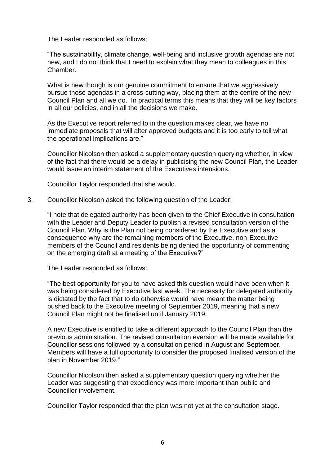The Leader responded as follows:

"The sustainability, climate change, well-being and inclusive growth agendas are not new, and I do not think that I need to explain what they mean to colleagues in this Chamber.

What is new though is our genuine commitment to ensure that we aggressively pursue those agendas in a cross-cutting way, placing them at the centre of the new Council Plan and all we do. In practical terms this means that they will be key factors in all our policies, and in all the decisions we make.

As the Executive report referred to in the question makes clear, we have no immediate proposals that will alter approved budgets and it is too early to tell what the operational implications are."

Councillor Nicolson then asked a supplementary question querying whether, in view of the fact that there would be a delay in publicising the new Council Plan, the Leader would issue an interim statement of the Executives intensions.

Councillor Taylor responded that she would.

3. Councillor Nicolson asked the following question of the Leader:

"I note that delegated authority has been given to the Chief Executive in consultation with the Leader and Deputy Leader to publish a revised consultation version of the Council Plan. Why is the Plan not being considered by the Executive and as a consequence why are the remaining members of the Executive, non-Executive members of the Council and residents being denied the opportunity of commenting on the emerging draft at a meeting of the Executive?"

The Leader responded as follows:

"The best opportunity for you to have asked this question would have been when it was being considered by Executive last week. The necessity for delegated authority is dictated by the fact that to do otherwise would have meant the matter being pushed back to the Executive meeting of September 2019, meaning that a new Council Plan might not be finalised until January 2019.

A new Executive is entitled to take a different approach to the Council Plan than the previous administration. The revised consultation eversion will be made available for Councillor sessions followed by a consultation period in August and September. Members will have a full opportunity to consider the proposed finalised version of the plan in November 2019."

Councillor Nicolson then asked a supplementary question querying whether the Leader was suggesting that expediency was more important than public and Councillor involvement.

Councillor Taylor responded that the plan was not yet at the consultation stage.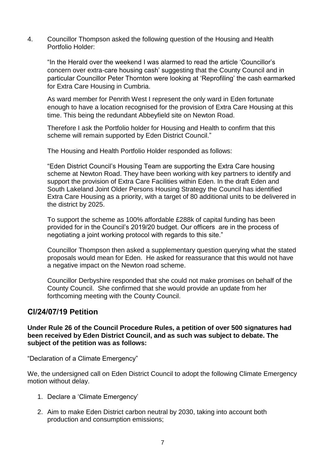4. Councillor Thompson asked the following question of the Housing and Health Portfolio Holder:

"In the Herald over the weekend I was alarmed to read the article 'Councillor's concern over extra-care housing cash' suggesting that the County Council and in particular Councillor Peter Thornton were looking at 'Reprofiling' the cash earmarked for Extra Care Housing in Cumbria.

As ward member for Penrith West I represent the only ward in Eden fortunate enough to have a location recognised for the provision of Extra Care Housing at this time. This being the redundant Abbeyfield site on Newton Road.

Therefore I ask the Portfolio holder for Housing and Health to confirm that this scheme will remain supported by Eden District Council."

The Housing and Health Portfolio Holder responded as follows:

"Eden District Council's Housing Team are supporting the Extra Care housing scheme at Newton Road. They have been working with key partners to identify and support the provision of Extra Care Facilities within Eden. In the draft Eden and South Lakeland Joint Older Persons Housing Strategy the Council has identified Extra Care Housing as a priority, with a target of 80 additional units to be delivered in the district by 2025.

To support the scheme as 100% affordable £288k of capital funding has been provided for in the Council's 2019/20 budget. Our officers are in the process of negotiating a joint working protocol with regards to this site."

Councillor Thompson then asked a supplementary question querying what the stated proposals would mean for Eden. He asked for reassurance that this would not have a negative impact on the Newton road scheme.

Councillor Derbyshire responded that she could not make promises on behalf of the County Council. She confirmed that she would provide an update from her forthcoming meeting with the County Council.

#### **Cl/24/07/19 Petition**

**Under Rule 26 of the Council Procedure Rules, a petition of over 500 signatures had been received by Eden District Council, and as such was subject to debate. The subject of the petition was as follows:**

"Declaration of a Climate Emergency"

We, the undersigned call on Eden District Council to adopt the following Climate Emergency motion without delay.

- 1. Declare a 'Climate Emergency'
- 2. Aim to make Eden District carbon neutral by 2030, taking into account both production and consumption emissions;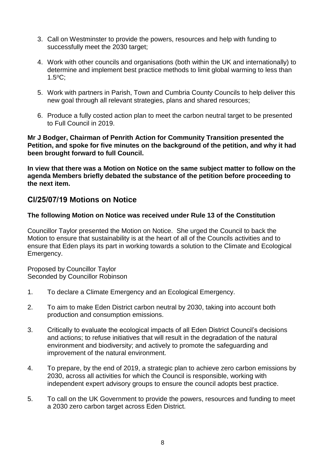- 3. Call on Westminster to provide the powers, resources and help with funding to successfully meet the 2030 target:
- 4. Work with other councils and organisations (both within the UK and internationally) to determine and implement best practice methods to limit global warming to less than 1.5<sup>o</sup>C;
- 5. Work with partners in Parish, Town and Cumbria County Councils to help deliver this new goal through all relevant strategies, plans and shared resources;
- 6. Produce a fully costed action plan to meet the carbon neutral target to be presented to Full Council in 2019.

#### **Mr J Bodger, Chairman of Penrith Action for Community Transition presented the Petition, and spoke for five minutes on the background of the petition, and why it had been brought forward to full Council.**

**In view that there was a Motion on Notice on the same subject matter to follow on the agenda Members briefly debated the substance of the petition before proceeding to the next item.**

### **Cl/25/07/19 Motions on Notice**

#### **The following Motion on Notice was received under Rule 13 of the Constitution**

Councillor Taylor presented the Motion on Notice. She urged the Council to back the Motion to ensure that sustainability is at the heart of all of the Councils activities and to ensure that Eden plays its part in working towards a solution to the Climate and Ecological Emergency.

Proposed by Councillor Taylor Seconded by Councillor Robinson

- 1. To declare a Climate Emergency and an Ecological Emergency.
- 2. To aim to make Eden District carbon neutral by 2030, taking into account both production and consumption emissions.
- 3. Critically to evaluate the ecological impacts of all Eden District Council's decisions and actions; to refuse initiatives that will result in the degradation of the natural environment and biodiversity; and actively to promote the safeguarding and improvement of the natural environment.
- 4. To prepare, by the end of 2019, a strategic plan to achieve zero carbon emissions by 2030, across all activities for which the Council is responsible, working with independent expert advisory groups to ensure the council adopts best practice.
- 5. To call on the UK Government to provide the powers, resources and funding to meet a 2030 zero carbon target across Eden District.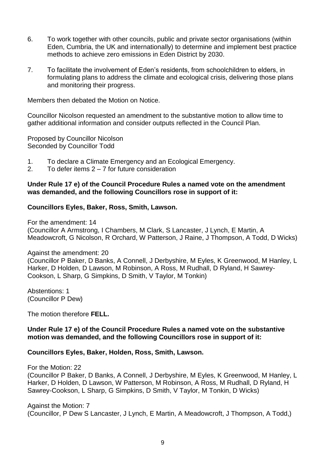- 6. To work together with other councils, public and private sector organisations (within Eden, Cumbria, the UK and internationally) to determine and implement best practice methods to achieve zero emissions in Eden District by 2030.
- 7. To facilitate the involvement of Eden's residents, from schoolchildren to elders, in formulating plans to address the climate and ecological crisis, delivering those plans and monitoring their progress.

Members then debated the Motion on Notice.

Councillor Nicolson requested an amendment to the substantive motion to allow time to gather additional information and consider outputs reflected in the Council Plan.

Proposed by Councillor Nicolson Seconded by Councillor Todd

- 1. To declare a Climate Emergency and an Ecological Emergency.
- 2. To defer items  $2 7$  for future consideration

#### **Under Rule 17 e) of the Council Procedure Rules a named vote on the amendment was demanded, and the following Councillors rose in support of it:**

#### **Councillors Eyles, Baker, Ross, Smith, Lawson.**

For the amendment: 14 (Councillor A Armstrong, I Chambers, M Clark, S Lancaster, J Lynch, E Martin, A Meadowcroft, G Nicolson, R Orchard, W Patterson, J Raine, J Thompson, A Todd, D Wicks)

Against the amendment: 20

(Councillor P Baker, D Banks, A Connell, J Derbyshire, M Eyles, K Greenwood, M Hanley, L Harker, D Holden, D Lawson, M Robinson, A Ross, M Rudhall, D Ryland, H Sawrey-Cookson, L Sharp, G Simpkins, D Smith, V Taylor, M Tonkin)

Abstentions: 1 (Councillor P Dew)

The motion therefore **FELL.**

#### **Under Rule 17 e) of the Council Procedure Rules a named vote on the substantive motion was demanded, and the following Councillors rose in support of it:**

#### **Councillors Eyles, Baker, Holden, Ross, Smith, Lawson.**

For the Motion: 22 (Councillor P Baker, D Banks, A Connell, J Derbyshire, M Eyles, K Greenwood, M Hanley, L Harker, D Holden, D Lawson, W Patterson, M Robinson, A Ross, M Rudhall, D Ryland, H Sawrey-Cookson, L Sharp, G Simpkins, D Smith, V Taylor, M Tonkin, D Wicks)

Against the Motion: 7 (Councillor, P Dew S Lancaster, J Lynch, E Martin, A Meadowcroft, J Thompson, A Todd,)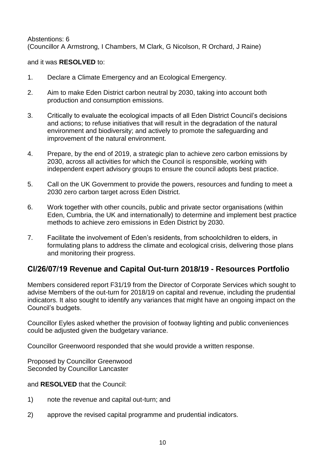Abstentions: 6 (Councillor A Armstrong, I Chambers, M Clark, G Nicolson, R Orchard, J Raine)

#### and it was **RESOLVED** to:

- 1. Declare a Climate Emergency and an Ecological Emergency.
- 2. Aim to make Eden District carbon neutral by 2030, taking into account both production and consumption emissions.
- 3. Critically to evaluate the ecological impacts of all Eden District Council's decisions and actions; to refuse initiatives that will result in the degradation of the natural environment and biodiversity; and actively to promote the safeguarding and improvement of the natural environment.
- 4. Prepare, by the end of 2019, a strategic plan to achieve zero carbon emissions by 2030, across all activities for which the Council is responsible, working with independent expert advisory groups to ensure the council adopts best practice.
- 5. Call on the UK Government to provide the powers, resources and funding to meet a 2030 zero carbon target across Eden District.
- 6. Work together with other councils, public and private sector organisations (within Eden, Cumbria, the UK and internationally) to determine and implement best practice methods to achieve zero emissions in Eden District by 2030.
- 7. Facilitate the involvement of Eden's residents, from schoolchildren to elders, in formulating plans to address the climate and ecological crisis, delivering those plans and monitoring their progress.

# **Cl/26/07/19 Revenue and Capital Out-turn 2018/19 - Resources Portfolio**

Members considered report F31/19 from the Director of Corporate Services which sought to advise Members of the out-turn for 2018/19 on capital and revenue, including the prudential indicators. It also sought to identify any variances that might have an ongoing impact on the Council's budgets.

Councillor Eyles asked whether the provision of footway lighting and public conveniences could be adjusted given the budgetary variance.

Councillor Greenwoord responded that she would provide a written response.

Proposed by Councillor Greenwood Seconded by Councillor Lancaster

#### and **RESOLVED** that the Council:

- 1) note the revenue and capital out-turn; and
- 2) approve the revised capital programme and prudential indicators.